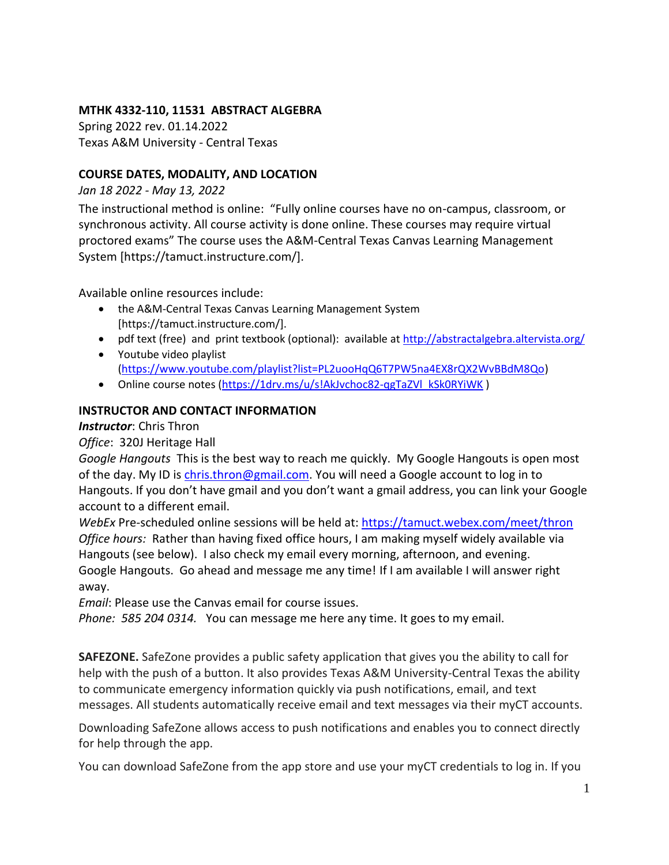## **MTHK 4332-110, 11531 ABSTRACT ALGEBRA**

Spring 2022 rev. 01.14.2022 Texas A&M University - Central Texas

### **COURSE DATES, MODALITY, AND LOCATION**

*Jan 18 2022 - May 13, 2022*

The instructional method is online: "Fully online courses have no on-campus, classroom, or synchronous activity. All course activity is done online. These courses may require virtual proctored exams" The course uses the A&M-Central Texas Canvas Learning Management System [https://tamuct.instructure.com/].

Available online resources include:

- the A&M-Central Texas Canvas Learning Management System [https://tamuct.instructure.com/].
- pdf text (free) and print textbook (optional): available at<http://abstractalgebra.altervista.org/>
- Youtube video playlist [\(https://www.youtube.com/playlist?list=PL2uooHqQ6T7PW5na4EX8rQX2WvBBdM8Qo\)](https://www.youtube.com/playlist?list=PL2uooHqQ6T7PW5na4EX8rQX2WvBBdM8Qo)
- Online course notes [\(https://1drv.ms/u/s!AkJvchoc82-qgTaZVl\\_kSk0RYiWK](https://1drv.ms/u/s!AkJvchoc82-qgTaZVl_kSk0RYiWK))

## **INSTRUCTOR AND CONTACT INFORMATION**

## *Instructor*: Chris Thron

*Office*: 320J Heritage Hall

*Google Hangouts* This is the best way to reach me quickly. My Google Hangouts is open most of the day. My ID i[s chris.thron@gmail.com.](mailto:chris.thron@gmail.com) You will need a Google account to log in to Hangouts. If you don't have gmail and you don't want a gmail address, you can link your Google account to a different email.

*WebEx* Pre-scheduled online sessions will be held at:<https://tamuct.webex.com/meet/thron> *Office hours:* Rather than having fixed office hours, I am making myself widely available via Hangouts (see below). I also check my email every morning, afternoon, and evening. Google Hangouts. Go ahead and message me any time! If I am available I will answer right away.

*Email*: Please use the Canvas email for course issues.

*Phone: 585 204 0314.* You can message me here any time. It goes to my email.

**SAFEZONE.** SafeZone provides a public safety application that gives you the ability to call for help with the push of a button. It also provides Texas A&M University-Central Texas the ability to communicate emergency information quickly via push notifications, email, and text messages. All students automatically receive email and text messages via their myCT accounts.

Downloading SafeZone allows access to push notifications and enables you to connect directly for help through the app.

You can download SafeZone from the app store and use your myCT credentials to log in. If you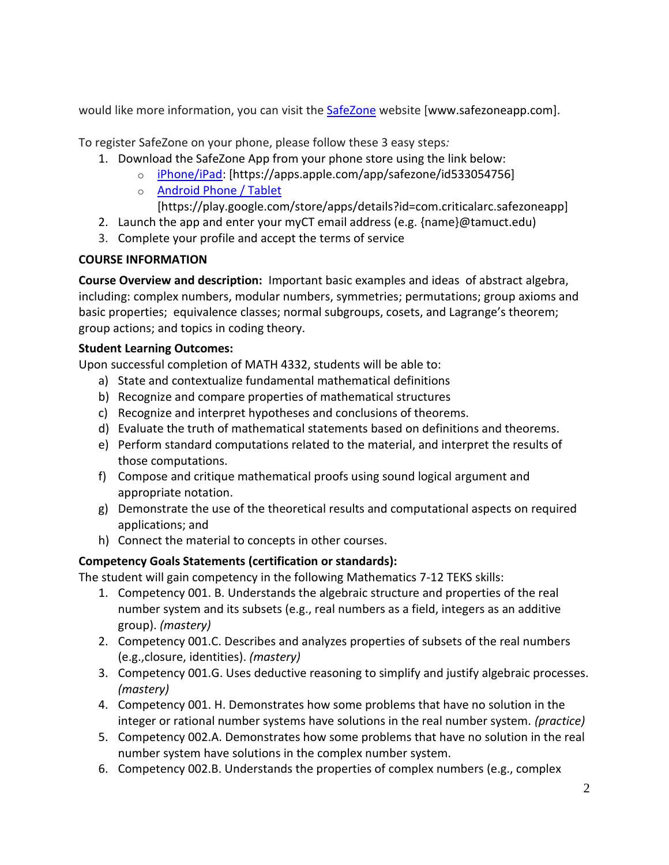would like more information, you can visit the **[SafeZone](http://www.safezoneapp.com/) website [www.safezoneapp.com]**.

To register SafeZone on your phone, please follow these 3 easy steps*:*

- 1. Download the SafeZone App from your phone store using the link below:
	- o [iPhone/iPad:](https://apps.apple.com/app/safezone/id533054756) [https://apps.apple.com/app/safezone/id533054756]
	- o [Android Phone / Tablet](https://play.google.com/store/apps/details?id=com.criticalarc.safezoneapp)
		- [https://play.google.com/store/apps/details?id=com.criticalarc.safezoneapp]
- 2. Launch the app and enter your myCT email address (e.g. {name}@tamuct.edu)
- 3. Complete your profile and accept the terms of service

# **COURSE INFORMATION**

**Course Overview and description:** Important basic examples and ideas of abstract algebra, including: complex numbers, modular numbers, symmetries; permutations; group axioms and basic properties; equivalence classes; normal subgroups, cosets, and Lagrange's theorem; group actions; and topics in coding theory.

# **Student Learning Outcomes:**

Upon successful completion of MATH 4332, students will be able to:

- a) State and contextualize fundamental mathematical definitions
- b) Recognize and compare properties of mathematical structures
- c) Recognize and interpret hypotheses and conclusions of theorems.
- d) Evaluate the truth of mathematical statements based on definitions and theorems.
- e) Perform standard computations related to the material, and interpret the results of those computations.
- f) Compose and critique mathematical proofs using sound logical argument and appropriate notation.
- g) Demonstrate the use of the theoretical results and computational aspects on required applications; and
- h) Connect the material to concepts in other courses.

# **Competency Goals Statements (certification or standards):**

The student will gain competency in the following Mathematics 7-12 TEKS skills:

- 1. Competency 001. B. Understands the algebraic structure and properties of the real number system and its subsets (e.g., real numbers as a field, integers as an additive group). *(mastery)*
- 2. Competency 001.C. Describes and analyzes properties of subsets of the real numbers (e.g.,closure, identities). *(mastery)*
- 3. Competency 001.G. Uses deductive reasoning to simplify and justify algebraic processes. *(mastery)*
- 4. Competency 001. H. Demonstrates how some problems that have no solution in the integer or rational number systems have solutions in the real number system. *(practice)*
- 5. Competency 002.A. Demonstrates how some problems that have no solution in the real number system have solutions in the complex number system.
- 6. Competency 002.B. Understands the properties of complex numbers (e.g., complex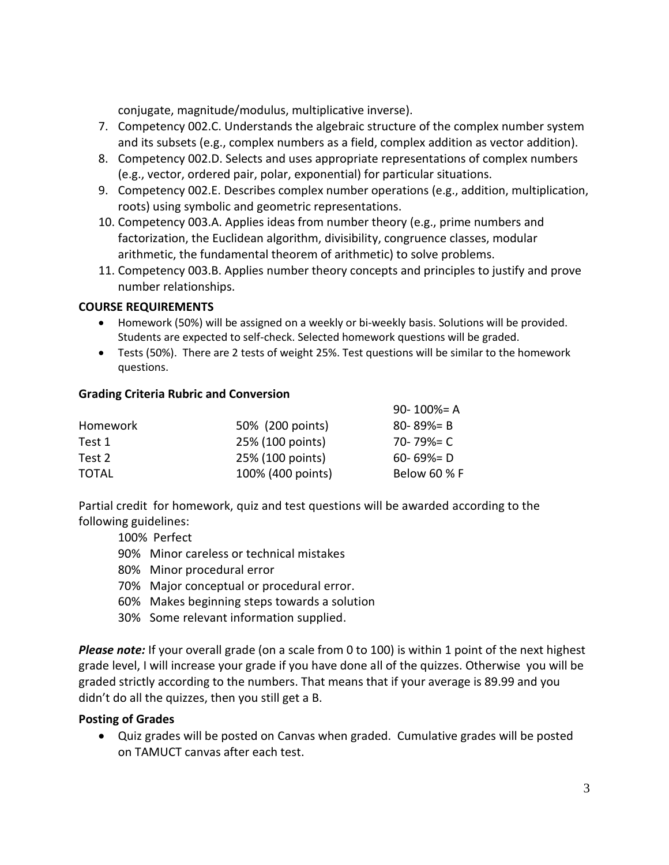conjugate, magnitude/modulus, multiplicative inverse).

- 7. Competency 002.C. Understands the algebraic structure of the complex number system and its subsets (e.g., complex numbers as a field, complex addition as vector addition).
- 8. Competency 002.D. Selects and uses appropriate representations of complex numbers (e.g., vector, ordered pair, polar, exponential) for particular situations.
- 9. Competency 002.E. Describes complex number operations (e.g., addition, multiplication, roots) using symbolic and geometric representations.
- 10. Competency 003.A. Applies ideas from number theory (e.g., prime numbers and factorization, the Euclidean algorithm, divisibility, congruence classes, modular arithmetic, the fundamental theorem of arithmetic) to solve problems.
- 11. Competency 003.B. Applies number theory concepts and principles to justify and prove number relationships.

## **COURSE REQUIREMENTS**

- Homework (50%) will be assigned on a weekly or bi-weekly basis. Solutions will be provided. Students are expected to self-check. Selected homework questions will be graded.
- Tests (50%). There are 2 tests of weight 25%. Test questions will be similar to the homework questions.

## **Grading Criteria Rubric and Conversion**

|          |                   | 90-100%= A      |
|----------|-------------------|-----------------|
| Homework | 50% (200 points)  | $80 - 89\% = B$ |
| Test 1   | 25% (100 points)  | 70-79%= C       |
| Test 2   | 25% (100 points)  | $60 - 69\% = D$ |
| TOTAL    | 100% (400 points) | Below 60 % F    |

Partial credit for homework, quiz and test questions will be awarded according to the following guidelines:

100% Perfect

- 90% Minor careless or technical mistakes
- 80% Minor procedural error
- 70% Major conceptual or procedural error.
- 60% Makes beginning steps towards a solution
- 30% Some relevant information supplied.

*Please note:* If your overall grade (on a scale from 0 to 100) is within 1 point of the next highest grade level, I will increase your grade if you have done all of the quizzes. Otherwise you will be graded strictly according to the numbers. That means that if your average is 89.99 and you didn't do all the quizzes, then you still get a B.

## **Posting of Grades**

 Quiz grades will be posted on Canvas when graded. Cumulative grades will be posted on TAMUCT canvas after each test.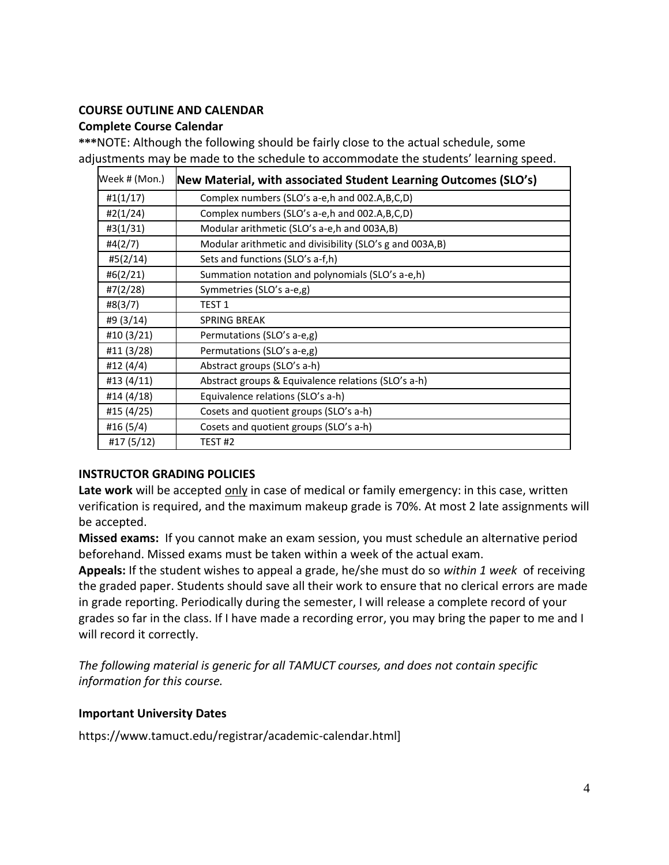#### **COURSE OUTLINE AND CALENDAR**

#### **Complete Course Calendar**

**\*\*\***NOTE: Although the following should be fairly close to the actual schedule, some adjustments may be made to the schedule to accommodate the students' learning speed.

| Week # (Mon.) | New Material, with associated Student Learning Outcomes (SLO's) |
|---------------|-----------------------------------------------------------------|
| #1(1/17)      | Complex numbers (SLO's a-e, h and 002.A, B, C, D)               |
| #2(1/24)      | Complex numbers (SLO's a-e, h and 002.A, B, C, D)               |
| #3(1/31)      | Modular arithmetic (SLO's a-e,h and 003A,B)                     |
| #4(2/7)       | Modular arithmetic and divisibility (SLO's g and 003A,B)        |
| #5(2/14)      | Sets and functions (SLO's a-f,h)                                |
| #6(2/21)      | Summation notation and polynomials (SLO's a-e,h)                |
| #7(2/28)      | Symmetries (SLO's a-e,g)                                        |
| #8(3/7)       | TEST <sub>1</sub>                                               |
| #9 (3/14)     | <b>SPRING BREAK</b>                                             |
| #10 (3/21)    | Permutations (SLO's a-e,g)                                      |
| #11 (3/28)    | Permutations (SLO's a-e,g)                                      |
| #12 (4/4)     | Abstract groups (SLO's a-h)                                     |
| #13 (4/11)    | Abstract groups & Equivalence relations (SLO's a-h)             |
| #14 (4/18)    | Equivalence relations (SLO's a-h)                               |
| #15 (4/25)    | Cosets and quotient groups (SLO's a-h)                          |
| #16 (5/4)     | Cosets and quotient groups (SLO's a-h)                          |
| #17 (5/12)    | TEST <sub>#2</sub>                                              |

## **INSTRUCTOR GRADING POLICIES**

Late work will be accepted only in case of medical or family emergency: in this case, written verification is required, and the maximum makeup grade is 70%. At most 2 late assignments will be accepted.

**Missed exams:** If you cannot make an exam session, you must schedule an alternative period beforehand. Missed exams must be taken within a week of the actual exam.

**Appeals:** If the student wishes to appeal a grade, he/she must do so *within 1 week* of receiving the graded paper. Students should save all their work to ensure that no clerical errors are made in grade reporting. Periodically during the semester, I will release a complete record of your grades so far in the class. If I have made a recording error, you may bring the paper to me and I will record it correctly.

*The following material is generic for all TAMUCT courses, and does not contain specific information for this course.* 

## **Important University Dates**

https://www.tamuct.edu/registrar/academic-calendar.html]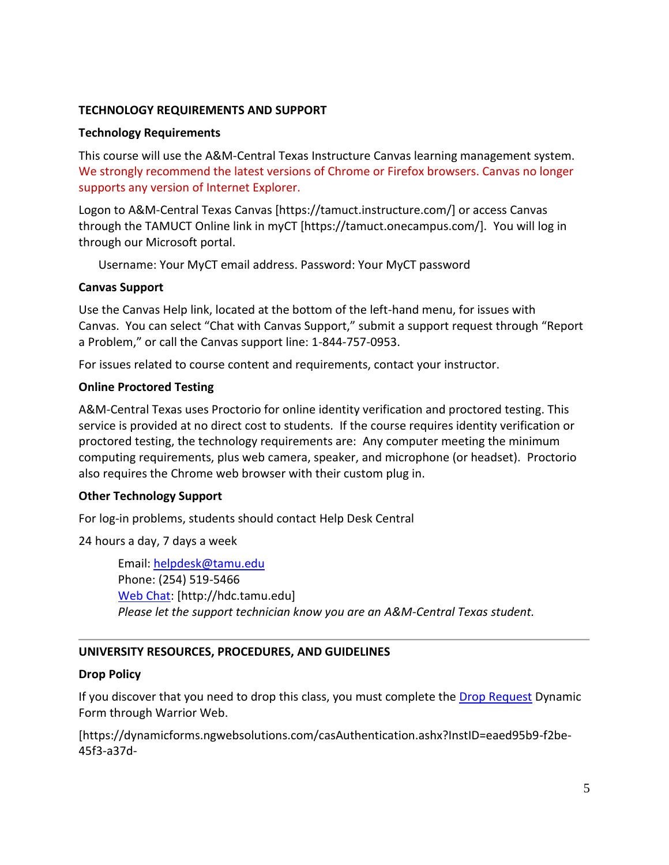#### **TECHNOLOGY REQUIREMENTS AND SUPPORT**

#### **Technology Requirements**

This course will use the A&M-Central Texas Instructure Canvas learning management system. We strongly recommend the latest versions of Chrome or Firefox browsers. Canvas no longer supports any version of Internet Explorer.

Logon to A&M-Central Texas Canvas [https://tamuct.instructure.com/] or access Canvas through the TAMUCT Online link in myCT [https://tamuct.onecampus.com/]. You will log in through our Microsoft portal.

Username: Your MyCT email address. Password: Your MyCT password

#### **Canvas Support**

Use the Canvas Help link, located at the bottom of the left-hand menu, for issues with Canvas. You can select "Chat with Canvas Support," submit a support request through "Report a Problem," or call the Canvas support line: 1-844-757-0953.

For issues related to course content and requirements, contact your instructor.

#### **Online Proctored Testing**

A&M-Central Texas uses Proctorio for online identity verification and proctored testing. This service is provided at no direct cost to students. If the course requires identity verification or proctored testing, the technology requirements are: Any computer meeting the minimum computing requirements, plus web camera, speaker, and microphone (or headset). Proctorio also requires the Chrome web browser with their custom plug in.

## **Other Technology Support**

For log-in problems, students should contact Help Desk Central

24 hours a day, 7 days a week

Email: [helpdesk@tamu.edu](mailto:helpdesk@tamu.edu) Phone: (254) 519-5466 [Web Chat:](http://hdc.tamu.edu/) [http://hdc.tamu.edu] *Please let the support technician know you are an A&M-Central Texas student.*

## **UNIVERSITY RESOURCES, PROCEDURES, AND GUIDELINES**

#### **Drop Policy**

If you discover that you need to drop this class, you must complete the **[Drop Request](https://dynamicforms.ngwebsolutions.com/casAuthentication.ashx?InstID=eaed95b9-f2be-45f3-a37d-46928168bc10&targetUrl=https%3A%2F%2Fdynamicforms.ngwebsolutions.com%2FSubmit%2FForm%2FStart%2F53b8369e-0502-4f36-be43-f02a4202f612)** Dynamic Form through Warrior Web.

[https://dynamicforms.ngwebsolutions.com/casAuthentication.ashx?InstID=eaed95b9-f2be-45f3-a37d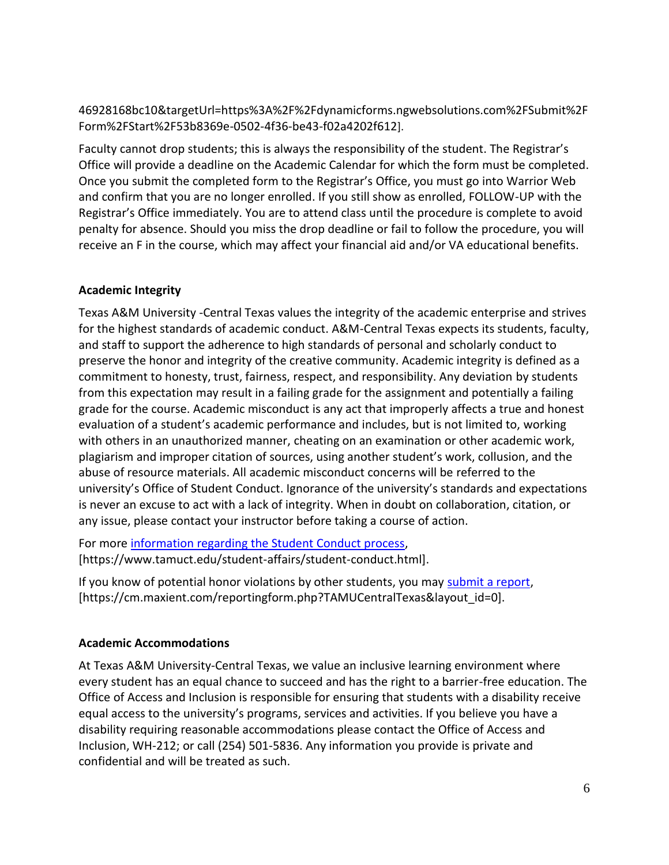46928168bc10&targetUrl=https%3A%2F%2Fdynamicforms.ngwebsolutions.com%2FSubmit%2F Form%2FStart%2F53b8369e-0502-4f36-be43-f02a4202f612].

Faculty cannot drop students; this is always the responsibility of the student. The Registrar's Office will provide a deadline on the Academic Calendar for which the form must be completed. Once you submit the completed form to the Registrar's Office, you must go into Warrior Web and confirm that you are no longer enrolled. If you still show as enrolled, FOLLOW-UP with the Registrar's Office immediately. You are to attend class until the procedure is complete to avoid penalty for absence. Should you miss the drop deadline or fail to follow the procedure, you will receive an F in the course, which may affect your financial aid and/or VA educational benefits.

## **Academic Integrity**

Texas A&M University -Central Texas values the integrity of the academic enterprise and strives for the highest standards of academic conduct. A&M-Central Texas expects its students, faculty, and staff to support the adherence to high standards of personal and scholarly conduct to preserve the honor and integrity of the creative community. Academic integrity is defined as a commitment to honesty, trust, fairness, respect, and responsibility. Any deviation by students from this expectation may result in a failing grade for the assignment and potentially a failing grade for the course. Academic misconduct is any act that improperly affects a true and honest evaluation of a student's academic performance and includes, but is not limited to, working with others in an unauthorized manner, cheating on an examination or other academic work, plagiarism and improper citation of sources, using another student's work, collusion, and the abuse of resource materials. All academic misconduct concerns will be referred to the university's Office of Student Conduct. Ignorance of the university's standards and expectations is never an excuse to act with a lack of integrity. When in doubt on collaboration, citation, or any issue, please contact your instructor before taking a course of action.

For more [information regarding the Student Conduct process,](https://www.tamuct.edu/student-affairs/student-conduct.html) [https://www.tamuct.edu/student-affairs/student-conduct.html].

If you know of potential honor violations by other students, you may [submit a report,](https://cm.maxient.com/reportingform.php?TAMUCentralTexas&layout_id=0) [https://cm.maxient.com/reportingform.php?TAMUCentralTexas&layout\_id=0].

# **Academic Accommodations**

At Texas A&M University-Central Texas, we value an inclusive learning environment where every student has an equal chance to succeed and has the right to a barrier-free education. The Office of Access and Inclusion is responsible for ensuring that students with a disability receive equal access to the university's programs, services and activities. If you believe you have a disability requiring reasonable accommodations please contact the Office of Access and Inclusion, WH-212; or call (254) 501-5836. Any information you provide is private and confidential and will be treated as such.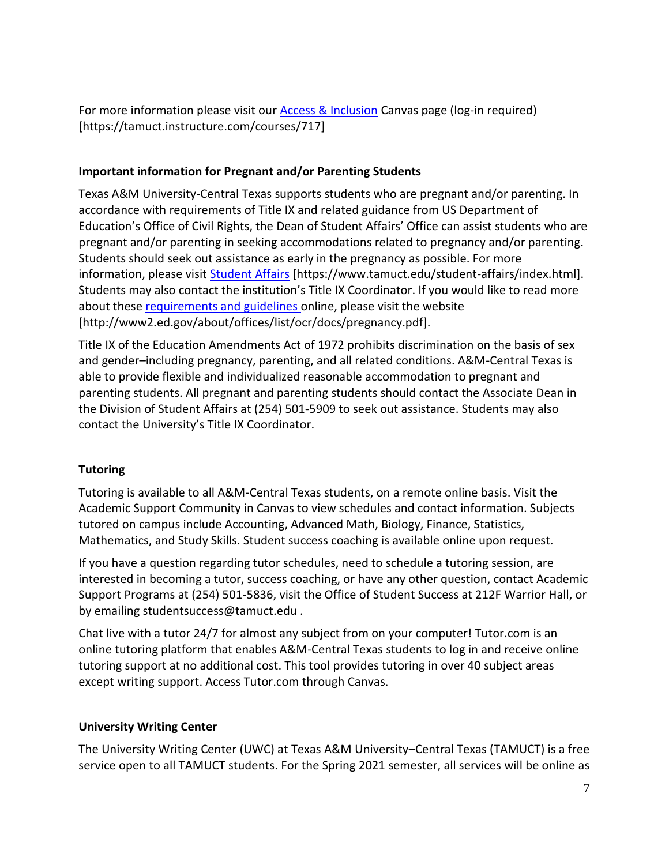For more information please visit our **Access & Inclusion Canvas page (log-in required)** [https://tamuct.instructure.com/courses/717]

## **Important information for Pregnant and/or Parenting Students**

Texas A&M University-Central Texas supports students who are pregnant and/or parenting. In accordance with requirements of Title IX and related guidance from US Department of Education's Office of Civil Rights, the Dean of Student Affairs' Office can assist students who are pregnant and/or parenting in seeking accommodations related to pregnancy and/or parenting. Students should seek out assistance as early in the pregnancy as possible. For more information, please visit [Student Affairs](https://www.tamuct.edu/student-affairs/index.html) [https://www.tamuct.edu/student-affairs/index.html]. Students may also contact the institution's Title IX Coordinator. If you would like to read more about these [requirements and guidelines](http://www2.ed.gov/about/offices/list/ocr/docs/pregnancy.pdf) online, please visit the website [http://www2.ed.gov/about/offices/list/ocr/docs/pregnancy.pdf].

Title IX of the Education Amendments Act of 1972 prohibits discrimination on the basis of sex and gender–including pregnancy, parenting, and all related conditions. A&M-Central Texas is able to provide flexible and individualized reasonable accommodation to pregnant and parenting students. All pregnant and parenting students should contact the Associate Dean in the Division of Student Affairs at (254) 501-5909 to seek out assistance. Students may also contact the University's Title IX Coordinator.

## **Tutoring**

Tutoring is available to all A&M-Central Texas students, on a remote online basis. Visit the Academic Support Community in Canvas to view schedules and contact information. Subjects tutored on campus include Accounting, Advanced Math, Biology, Finance, Statistics, Mathematics, and Study Skills. Student success coaching is available online upon request.

If you have a question regarding tutor schedules, need to schedule a tutoring session, are interested in becoming a tutor, success coaching, or have any other question, contact Academic Support Programs at (254) 501-5836, visit the Office of Student Success at 212F Warrior Hall, or by emailing studentsuccess@tamuct.edu .

Chat live with a tutor 24/7 for almost any subject from on your computer! Tutor.com is an online tutoring platform that enables A&M-Central Texas students to log in and receive online tutoring support at no additional cost. This tool provides tutoring in over 40 subject areas except writing support. Access Tutor.com through Canvas.

## **University Writing Center**

The University Writing Center (UWC) at Texas A&M University–Central Texas (TAMUCT) is a free service open to all TAMUCT students. For the Spring 2021 semester, all services will be online as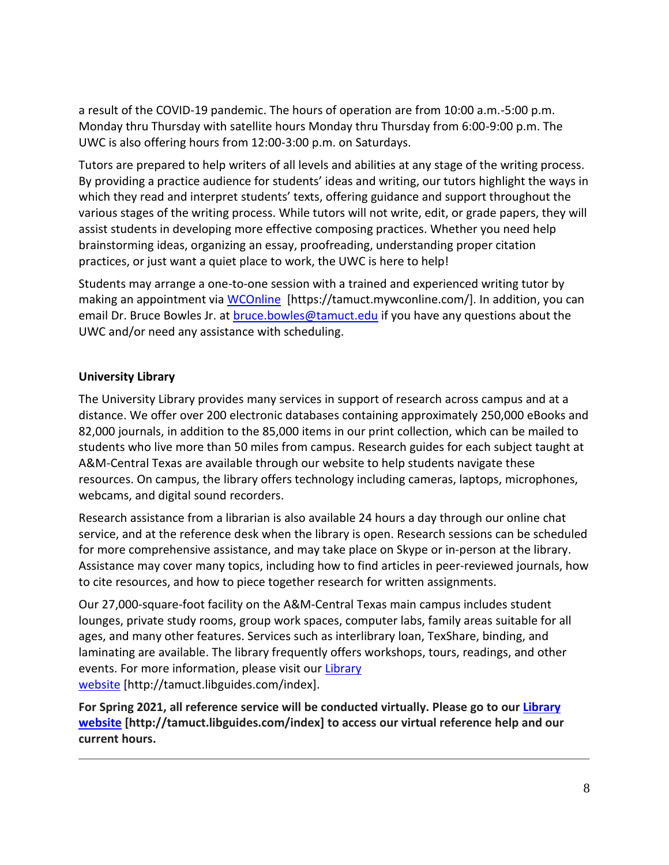a result of the COVID-19 pandemic. The hours of operation are from 10:00 a.m.-5:00 p.m. Monday thru Thursday with satellite hours Monday thru Thursday from 6:00-9:00 p.m. The UWC is also offering hours from 12:00-3:00 p.m. on Saturdays.

Tutors are prepared to help writers of all levels and abilities at any stage of the writing process. By providing a practice audience for students' ideas and writing, our tutors highlight the ways in which they read and interpret students' texts, offering guidance and support throughout the various stages of the writing process. While tutors will not write, edit, or grade papers, they will assist students in developing more effective composing practices. Whether you need help brainstorming ideas, organizing an essay, proofreading, understanding proper citation practices, or just want a quiet place to work, the UWC is here to help!

Students may arrange a one-to-one session with a trained and experienced writing tutor by making an appointment via [WCOnline](https://tamuct.mywconline.com/) [https://tamuct.mywconline.com/]. In addition, you can email Dr. Bruce Bowles Jr. at [bruce.bowles@tamuct.edu](mailto:bruce.bowles@tamuct.edu) if you have any questions about the UWC and/or need any assistance with scheduling.

## **University Library**

The University Library provides many services in support of research across campus and at a distance. We offer over 200 electronic databases containing approximately 250,000 eBooks and 82,000 journals, in addition to the 85,000 items in our print collection, which can be mailed to students who live more than 50 miles from campus. Research guides for each subject taught at A&M-Central Texas are available through our website to help students navigate these resources. On campus, the library offers technology including cameras, laptops, microphones, webcams, and digital sound recorders.

Research assistance from a librarian is also available 24 hours a day through our online chat service, and at the reference desk when the library is open. Research sessions can be scheduled for more comprehensive assistance, and may take place on Skype or in-person at the library. Assistance may cover many topics, including how to find articles in peer-reviewed journals, how to cite resources, and how to piece together research for written assignments.

Our 27,000-square-foot facility on the A&M-Central Texas main campus includes student lounges, private study rooms, group work spaces, computer labs, family areas suitable for all ages, and many other features. Services such as interlibrary loan, TexShare, binding, and laminating are available. The library frequently offers workshops, tours, readings, and other events. For more information, please visit our [Library](https://tamuct.libguides.com/index) [website](https://tamuct.libguides.com/index) [http://tamuct.libguides.com/index].

**For Spring 2021, all reference service will be conducted virtually. Please go to our [Library](https://nam04.safelinks.protection.outlook.com/?url=https%3A%2F%2Ftamuct.libguides.com%2Findex&data=04%7C01%7Clisa.bunkowski%40tamuct.edu%7C8242506d517f4275449608d87c521260%7C9eed4e3000f744849ff193ad8005acec%7C0%7C0%7C637396039225117111%7CUnknown%7CTWFpbGZsb3d8eyJWIjoiMC4wLjAwMDAiLCJQIjoiV2luMzIiLCJBTiI6Ik1haWwiLCJXVCI6Mn0%3D%7C1000&sdata=o3Ld7UKky5UoafnKDkA%2BCH9C50eLGHkiCfz7ajI2vRM%3D&reserved=0) [website](https://nam04.safelinks.protection.outlook.com/?url=https%3A%2F%2Ftamuct.libguides.com%2Findex&data=04%7C01%7Clisa.bunkowski%40tamuct.edu%7C8242506d517f4275449608d87c521260%7C9eed4e3000f744849ff193ad8005acec%7C0%7C0%7C637396039225117111%7CUnknown%7CTWFpbGZsb3d8eyJWIjoiMC4wLjAwMDAiLCJQIjoiV2luMzIiLCJBTiI6Ik1haWwiLCJXVCI6Mn0%3D%7C1000&sdata=o3Ld7UKky5UoafnKDkA%2BCH9C50eLGHkiCfz7ajI2vRM%3D&reserved=0) [http://tamuct.libguides.com/index] to access our virtual reference help and our current hours.**